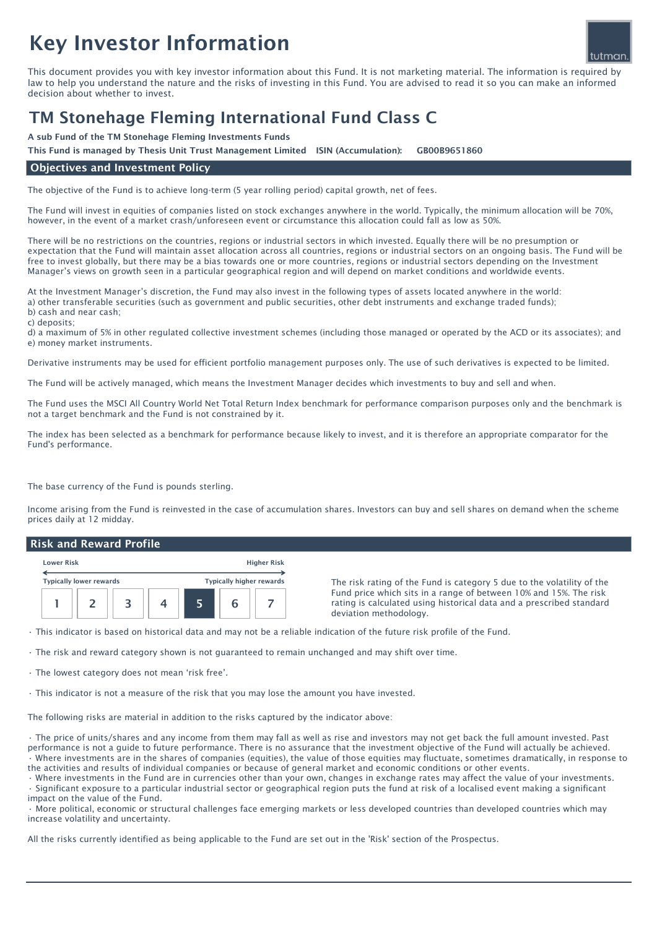# Key Investor Information

This document provides you with key investor information about this Fund. It is not marketing material. The information is required by law to help you understand the nature and the risks of investing in this Fund. You are advised to read it so you can make an informed decision about whether to invest.

## TM Stonehage Fleming International Fund Class C

A sub Fund of the TM Stonehage Fleming Investments Funds

This Fund is managed by Thesis Unit Trust Management Limited ISIN (Accumulation): GB00B9651860

#### Objectives and Investment Policy

The objective of the Fund is to achieve long-term (5 year rolling period) capital growth, net of fees.

The Fund will invest in equities of companies listed on stock exchanges anywhere in the world. Typically, the minimum allocation will be 70%, however, in the event of a market crash/unforeseen event or circumstance this allocation could fall as low as 50%.

There will be no restrictions on the countries, regions or industrial sectors in which invested. Equally there will be no presumption or expectation that the Fund will maintain asset allocation across all countries, regions or industrial sectors on an ongoing basis. The Fund will be free to invest globally, but there may be a bias towards one or more countries, regions or industrial sectors depending on the Investment Manager's views on growth seen in a particular geographical region and will depend on market conditions and worldwide events.

At the Investment Manager's discretion, the Fund may also invest in the following types of assets located anywhere in the world: a) other transferable securities (such as government and public securities, other debt instruments and exchange traded funds); b) cash and near cash;

c) deposits;

d) a maximum of 5% in other regulated collective investment schemes (including those managed or operated by the ACD or its associates); and e) money market instruments.

Derivative instruments may be used for efficient portfolio management purposes only. The use of such derivatives is expected to be limited.

The Fund will be actively managed, which means the Investment Manager decides which investments to buy and sell and when.

The Fund uses the MSCI All Country World Net Total Return Index benchmark for performance comparison purposes only and the benchmark is not a target benchmark and the Fund is not constrained by it.

The index has been selected as a benchmark for performance because likely to invest, and it is therefore an appropriate comparator for the Fund's performance.

The base currency of the Fund is pounds sterling.

Income arising from the Fund is reinvested in the case of accumulation shares. Investors can buy and sell shares on demand when the scheme prices daily at 12 midday.

#### Risk and Reward Profile

| <b>Lower Risk</b>              |  |  | <b>Higher Risk</b> |                                 |  |  |  |
|--------------------------------|--|--|--------------------|---------------------------------|--|--|--|
| <b>Typically lower rewards</b> |  |  |                    | <b>Typically higher rewards</b> |  |  |  |
|                                |  |  |                    |                                 |  |  |  |

The risk rating of the Fund is category 5 due to the volatility of the Fund price which sits in a range of between 10% and 15%. The risk rating is calculated using historical data and a prescribed standard deviation methodology.

• This indicator is based on historical data and may not be a reliable indication of the future risk profile of the Fund.

• The risk and reward category shown is not guaranteed to remain unchanged and may shift over time.

• The lowest category does not mean 'risk free'.

• This indicator is not a measure of the risk that you may lose the amount you have invested.

The following risks are material in addition to the risks captured by the indicator above:

• The price of units/shares and any income from them may fall as well as rise and investors may not get back the full amount invested. Past performance is not a guide to future performance. There is no assurance that the investment objective of the Fund will actually be achieved. • Where investments are in the shares of companies (equities), the value of those equities may fluctuate, sometimes dramatically, in response to the activities and results of individual companies or because of general market and economic conditions or other events.

• Where investments in the Fund are in currencies other than your own, changes in exchange rates may affect the value of your investments.

• Significant exposure to a particular industrial sector or geographical region puts the fund at risk of a localised event making a significant impact on the value of the Fund.

• More political, economic or structural challenges face emerging markets or less developed countries than developed countries which may increase volatility and uncertainty.

All the risks currently identified as being applicable to the Fund are set out in the 'Risk' section of the Prospectus.